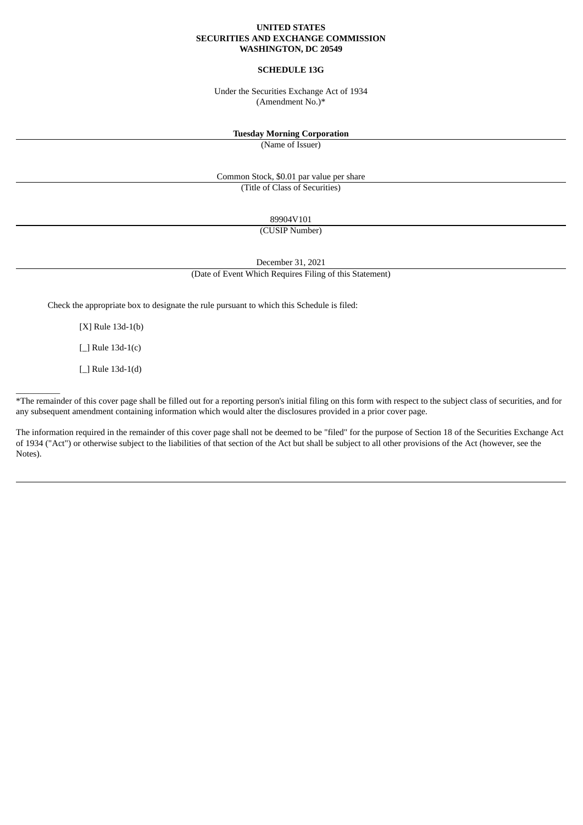#### **UNITED STATES SECURITIES AND EXCHANGE COMMISSION WASHINGTON, DC 20549**

# **SCHEDULE 13G**

Under the Securities Exchange Act of 1934 (Amendment No.)\*

#### **Tuesday Morning Corporation**

(Name of Issuer)

Common Stock, \$0.01 par value per share (Title of Class of Securities)

89904V101

(CUSIP Number)

December 31, 2021

(Date of Event Which Requires Filing of this Statement)

Check the appropriate box to designate the rule pursuant to which this Schedule is filed:

[X] Rule 13d-1(b)

[\_] Rule 13d-1(c)

[*\_*] Rule 13d-1(d)

\_\_\_\_\_\_\_\_\_\_

\*The remainder of this cover page shall be filled out for a reporting person's initial filing on this form with respect to the subject class of securities, and for any subsequent amendment containing information which would alter the disclosures provided in a prior cover page.

The information required in the remainder of this cover page shall not be deemed to be "filed" for the purpose of Section 18 of the Securities Exchange Act of 1934 ("Act") or otherwise subject to the liabilities of that section of the Act but shall be subject to all other provisions of the Act (however, see the Notes).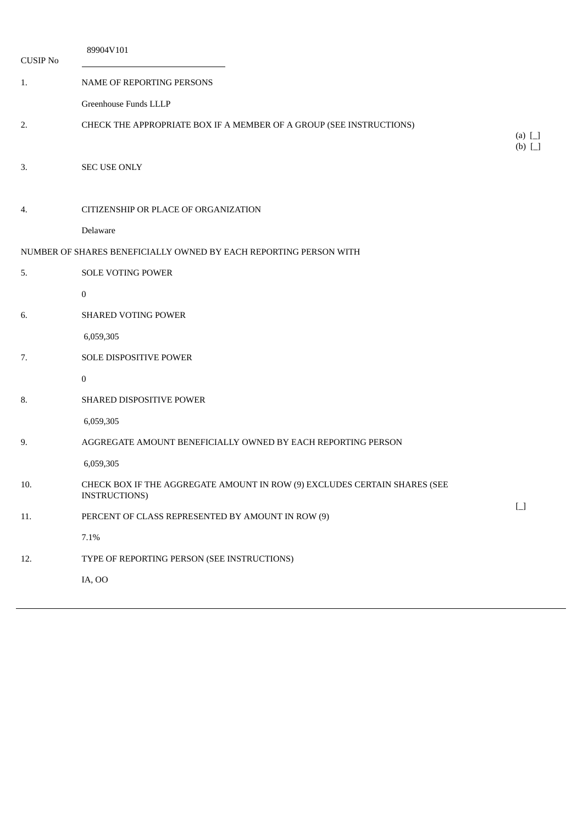| <b>CUSIP No</b> | 89904V101                                                                                         |                       |
|-----------------|---------------------------------------------------------------------------------------------------|-----------------------|
| 1.              | NAME OF REPORTING PERSONS                                                                         |                       |
|                 | Greenhouse Funds LLLP                                                                             |                       |
| 2.              | CHECK THE APPROPRIATE BOX IF A MEMBER OF A GROUP (SEE INSTRUCTIONS)                               | (a) $\Box$<br>$(b)$ [ |
| 3.              | <b>SEC USE ONLY</b>                                                                               |                       |
| 4.              | CITIZENSHIP OR PLACE OF ORGANIZATION                                                              |                       |
|                 | Delaware                                                                                          |                       |
|                 | NUMBER OF SHARES BENEFICIALLY OWNED BY EACH REPORTING PERSON WITH                                 |                       |
| 5.              | <b>SOLE VOTING POWER</b>                                                                          |                       |
|                 | $\boldsymbol{0}$                                                                                  |                       |
| 6.              | SHARED VOTING POWER                                                                               |                       |
|                 | 6,059,305                                                                                         |                       |
| 7.              | SOLE DISPOSITIVE POWER                                                                            |                       |
|                 | $\mathbf{0}$                                                                                      |                       |
| 8.              | SHARED DISPOSITIVE POWER                                                                          |                       |
|                 | 6,059,305                                                                                         |                       |
| 9.              | AGGREGATE AMOUNT BENEFICIALLY OWNED BY EACH REPORTING PERSON                                      |                       |
|                 | 6,059,305                                                                                         |                       |
| 10.             | CHECK BOX IF THE AGGREGATE AMOUNT IN ROW (9) EXCLUDES CERTAIN SHARES (SEE<br><b>INSTRUCTIONS)</b> |                       |
| 11.             | PERCENT OF CLASS REPRESENTED BY AMOUNT IN ROW (9)                                                 | $\Box$                |
|                 | $7.1\%$                                                                                           |                       |
| 12.             | TYPE OF REPORTING PERSON (SEE INSTRUCTIONS)                                                       |                       |
|                 | IA, OO                                                                                            |                       |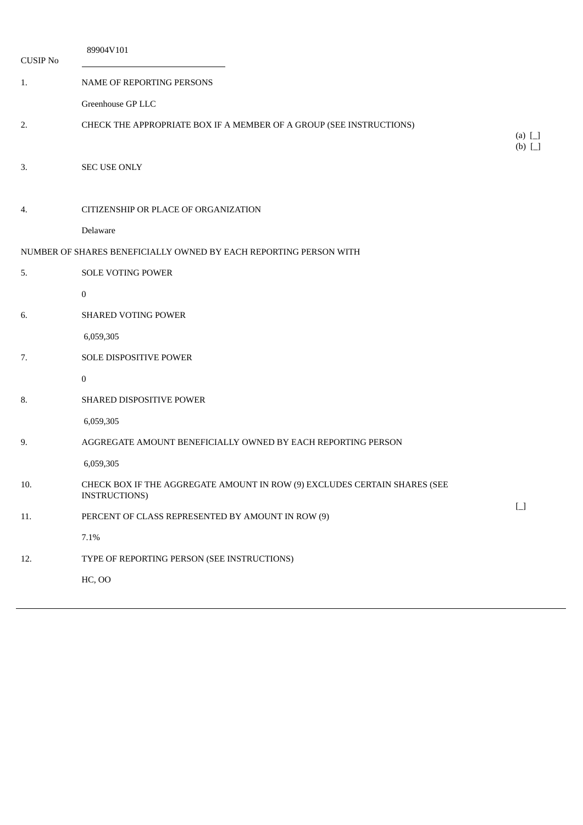| <b>CUSIP No</b> | 89904V101                                                                                         |                       |
|-----------------|---------------------------------------------------------------------------------------------------|-----------------------|
| 1.              | NAME OF REPORTING PERSONS                                                                         |                       |
|                 | Greenhouse GP LLC                                                                                 |                       |
| 2.              | CHECK THE APPROPRIATE BOX IF A MEMBER OF A GROUP (SEE INSTRUCTIONS)                               | (a) $\Box$<br>$(b)$ [ |
| 3.              | <b>SEC USE ONLY</b>                                                                               |                       |
| 4.              | CITIZENSHIP OR PLACE OF ORGANIZATION                                                              |                       |
|                 | Delaware                                                                                          |                       |
|                 | NUMBER OF SHARES BENEFICIALLY OWNED BY EACH REPORTING PERSON WITH                                 |                       |
| 5.              | <b>SOLE VOTING POWER</b>                                                                          |                       |
|                 | $\boldsymbol{0}$                                                                                  |                       |
| 6.              | SHARED VOTING POWER                                                                               |                       |
|                 | 6,059,305                                                                                         |                       |
| 7.              | SOLE DISPOSITIVE POWER                                                                            |                       |
|                 | $\mathbf{0}$                                                                                      |                       |
| 8.              | SHARED DISPOSITIVE POWER                                                                          |                       |
|                 | 6,059,305                                                                                         |                       |
| 9.              | AGGREGATE AMOUNT BENEFICIALLY OWNED BY EACH REPORTING PERSON                                      |                       |
|                 | 6,059,305                                                                                         |                       |
| 10.             | CHECK BOX IF THE AGGREGATE AMOUNT IN ROW (9) EXCLUDES CERTAIN SHARES (SEE<br><b>INSTRUCTIONS)</b> |                       |
| 11.             | PERCENT OF CLASS REPRESENTED BY AMOUNT IN ROW (9)                                                 | $\Box$                |
|                 | $7.1\%$                                                                                           |                       |
| 12.             | TYPE OF REPORTING PERSON (SEE INSTRUCTIONS)                                                       |                       |
|                 | <b>HC, OO</b>                                                                                     |                       |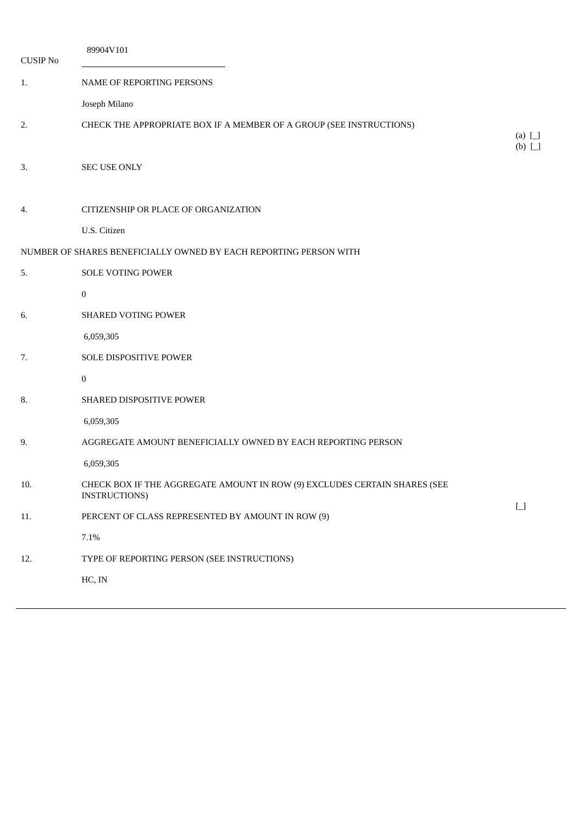| <b>CUSIP No</b> | 89904V101                                                                                  |                            |
|-----------------|--------------------------------------------------------------------------------------------|----------------------------|
| 1.              | NAME OF REPORTING PERSONS                                                                  |                            |
|                 | Joseph Milano                                                                              |                            |
| 2.              | CHECK THE APPROPRIATE BOX IF A MEMBER OF A GROUP (SEE INSTRUCTIONS)                        | (a) $\Box$<br>$(b)$ $\Box$ |
| 3.              | <b>SEC USE ONLY</b>                                                                        |                            |
| 4.              | CITIZENSHIP OR PLACE OF ORGANIZATION                                                       |                            |
|                 | U.S. Citizen                                                                               |                            |
|                 | NUMBER OF SHARES BENEFICIALLY OWNED BY EACH REPORTING PERSON WITH                          |                            |
| 5.              | <b>SOLE VOTING POWER</b>                                                                   |                            |
|                 | $\bf{0}$                                                                                   |                            |
| 6.              | SHARED VOTING POWER                                                                        |                            |
|                 | 6,059,305                                                                                  |                            |
| 7.              | SOLE DISPOSITIVE POWER                                                                     |                            |
|                 | $\mathbf{0}$                                                                               |                            |
| 8.              | SHARED DISPOSITIVE POWER                                                                   |                            |
|                 | 6,059,305                                                                                  |                            |
| 9.              | AGGREGATE AMOUNT BENEFICIALLY OWNED BY EACH REPORTING PERSON                               |                            |
|                 | 6,059,305                                                                                  |                            |
| 10.             | CHECK BOX IF THE AGGREGATE AMOUNT IN ROW (9) EXCLUDES CERTAIN SHARES (SEE<br>INSTRUCTIONS) |                            |
| 11.             | PERCENT OF CLASS REPRESENTED BY AMOUNT IN ROW (9)                                          | $\boxed{\phantom{1}}$      |
|                 | 7.1%                                                                                       |                            |
| 12.             | TYPE OF REPORTING PERSON (SEE INSTRUCTIONS)                                                |                            |
|                 | HC, IN                                                                                     |                            |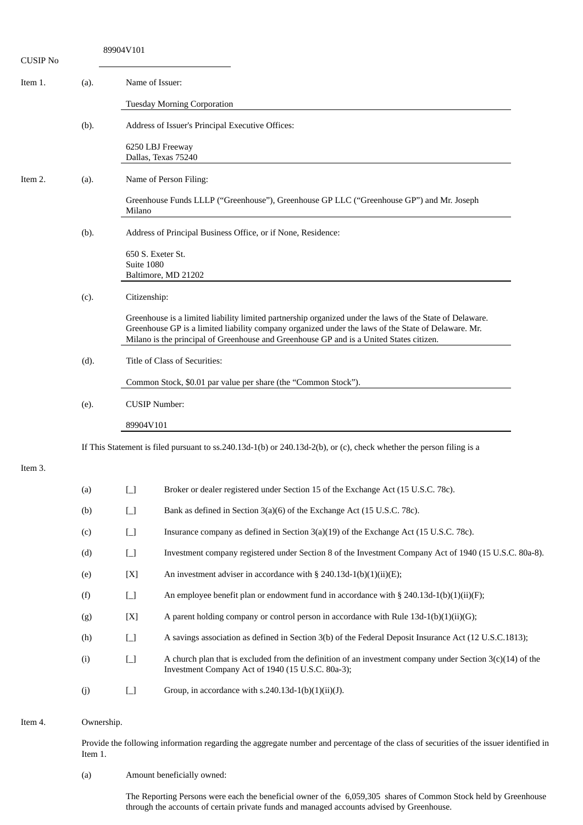| <b>CUSIP No</b> |      | 89904V101                              |                                                                                                                                                                                                                                                                                                            |
|-----------------|------|----------------------------------------|------------------------------------------------------------------------------------------------------------------------------------------------------------------------------------------------------------------------------------------------------------------------------------------------------------|
| Item 1.         | (a). | Name of Issuer:                        |                                                                                                                                                                                                                                                                                                            |
|                 |      |                                        | <b>Tuesday Morning Corporation</b>                                                                                                                                                                                                                                                                         |
|                 | (b). |                                        | Address of Issuer's Principal Executive Offices:                                                                                                                                                                                                                                                           |
|                 |      |                                        | 6250 LBJ Freeway<br>Dallas, Texas 75240                                                                                                                                                                                                                                                                    |
| Item 2.         | (a). |                                        | Name of Person Filing:                                                                                                                                                                                                                                                                                     |
|                 |      | Milano                                 | Greenhouse Funds LLLP ("Greenhouse"), Greenhouse GP LLC ("Greenhouse GP") and Mr. Joseph                                                                                                                                                                                                                   |
|                 | (b). |                                        | Address of Principal Business Office, or if None, Residence:                                                                                                                                                                                                                                               |
|                 |      | 650 S. Exeter St.<br>Suite 1080        | Baltimore, MD 21202                                                                                                                                                                                                                                                                                        |
|                 | (c). | Citizenship:                           |                                                                                                                                                                                                                                                                                                            |
|                 |      |                                        | Greenhouse is a limited liability limited partnership organized under the laws of the State of Delaware.<br>Greenhouse GP is a limited liability company organized under the laws of the State of Delaware. Mr.<br>Milano is the principal of Greenhouse and Greenhouse GP and is a United States citizen. |
|                 | (d). |                                        | Title of Class of Securities:                                                                                                                                                                                                                                                                              |
|                 |      |                                        | Common Stock, \$0.01 par value per share (the "Common Stock").                                                                                                                                                                                                                                             |
|                 | (e). | <b>CUSIP Number:</b>                   |                                                                                                                                                                                                                                                                                                            |
|                 |      | 89904V101                              |                                                                                                                                                                                                                                                                                                            |
|                 |      |                                        | If This Statement is filed pursuant to $ss.240.13d-1(b)$ or $240.13d-2(b)$ , or (c), check whether the person filing is a                                                                                                                                                                                  |
| Item 3.         |      |                                        |                                                                                                                                                                                                                                                                                                            |
|                 | (a)  | $\boxed{\phantom{1}}$                  | Broker or dealer registered under Section 15 of the Exchange Act (15 U.S.C. 78c).                                                                                                                                                                                                                          |
|                 | (b)  | $\begin{bmatrix} 1 \\ 1 \end{bmatrix}$ | Bank as defined in Section 3(a)(6) of the Exchange Act (15 U.S.C. 78c).                                                                                                                                                                                                                                    |
|                 | (c)  | $\Box$                                 | Insurance company as defined in Section 3(a)(19) of the Exchange Act (15 U.S.C. 78c).                                                                                                                                                                                                                      |
|                 | (d)  | $\begin{bmatrix} 1 \\ 1 \end{bmatrix}$ | Investment company registered under Section 8 of the Investment Company Act of 1940 (15 U.S.C. 80a-8).                                                                                                                                                                                                     |
|                 | (e)  | [X]                                    | An investment adviser in accordance with § 240.13d-1(b)(1)(ii)(E);                                                                                                                                                                                                                                         |
|                 | (f)  | $\begin{bmatrix} 1 \\ 1 \end{bmatrix}$ | An employee benefit plan or endowment fund in accordance with $\S$ 240.13d-1(b)(1)(ii)(F);                                                                                                                                                                                                                 |
|                 | (g)  | [X]                                    | A parent holding company or control person in accordance with Rule $13d-1(b)(1)(ii)(G)$ ;                                                                                                                                                                                                                  |
|                 | (h)  | $\Box$                                 | A savings association as defined in Section 3(b) of the Federal Deposit Insurance Act (12 U.S.C.1813);                                                                                                                                                                                                     |
|                 | (i)  | $\boxed{\phantom{1}}$                  | A church plan that is excluded from the definition of an investment company under Section $3(c)(14)$ of the<br>Investment Company Act of 1940 (15 U.S.C. 80a-3);                                                                                                                                           |
|                 | (j)  | $\begin{bmatrix} 1 \\ 1 \end{bmatrix}$ | Group, in accordance with $s.240.13d-1(b)(1)(ii)(J)$ .                                                                                                                                                                                                                                                     |

#### Item 4. Ownership.

Provide the following information regarding the aggregate number and percentage of the class of securities of the issuer identified in Item 1.

#### (a) Amount beneficially owned:

The Reporting Persons were each the beneficial owner of the 6,059,305 shares of Common Stock held by Greenhouse through the accounts of certain private funds and managed accounts advised by Greenhouse.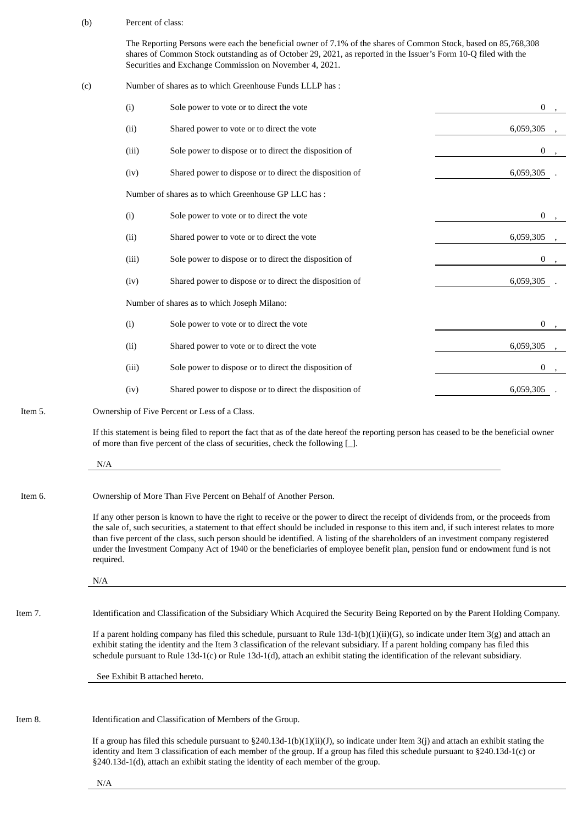(b) Percent of class:

The Reporting Persons were each the beneficial owner of 7.1% of the shares of Common Stock, based on 85,768,308 shares of Common Stock outstanding as of October 29, 2021, as reported in the Issuer's Form 10-Q filed with the Securities and Exchange Commission on November 4, 2021.

(c) Number of shares as to which Greenhouse Funds LLLP has : (i) Sole power to vote or to direct the vote 0  $\sim$  0 , 0  $\sim$  0  $\sim$  0  $\sim$  0  $\sim$  0  $\sim$  0  $\sim$  0  $\sim$  0  $\sim$  0  $\sim$  0  $\sim$  0  $\sim$  0  $\sim$  0  $\sim$  0  $\sim$  0  $\sim$  0  $\sim$  0  $\sim$  0  $\sim$  0  $\sim$  0  $\sim$  0  $\sim$  0  $\sim$  0  $\sim$  0  $\sim$ (ii) Shared power to vote or to direct the vote 6,059,305  $\frac{6,059,305}{6,059,305}$ (iii) Sole power to dispose or to direct the disposition of 0  $\qquad 0$ (iv) Shared power to dispose or to direct the disposition of 6,059,305 Number of shares as to which Greenhouse GP LLC has : (i) Sole power to vote or to direct the vote 0 , (ii) Shared power to vote or to direct the vote 6,059,305  $6,059,305$ (iii) Sole power to dispose or to direct the disposition of 0  $\qquad 0$ (iv) Shared power to dispose or to direct the disposition of 6,059,305 .6059,305 Number of shares as to which Joseph Milano: (i) Sole power to vote or to direct the vote 0  $\qquad 0$ (ii) Shared power to vote or to direct the vote 6,059,305  $\frac{6,059,305}{6,059,305}$ (iii) Sole power to dispose or to direct the disposition of 0  $\qquad 0$ (iv) Shared power to dispose or to direct the disposition of 6,059,305 . Item 5. Ownership of Five Percent or Less of a Class. If this statement is being filed to report the fact that as of the date hereof the reporting person has ceased to be the beneficial owner of more than five percent of the class of securities, check the following [\_]. N/A Item 6. Ownership of More Than Five Percent on Behalf of Another Person. If any other person is known to have the right to receive or the power to direct the receipt of dividends from, or the proceeds from the sale of, such securities, a statement to that effect should be included in response to this item and, if such interest relates to more than five percent of the class, such person should be identified. A listing of the shareholders of an investment company registered under the Investment Company Act of 1940 or the beneficiaries of employee benefit plan, pension fund or endowment fund is not required. N/A Item 7. Identification and Classification of the Subsidiary Which Acquired the Security Being Reported on by the Parent Holding Company. If a parent holding company has filed this schedule, pursuant to Rule  $13d-1(b)(1)(ii)(G)$ , so indicate under Item  $3(g)$  and attach an

exhibit stating the identity and the Item 3 classification of the relevant subsidiary. If a parent holding company has filed this schedule pursuant to Rule 13d-1(c) or Rule 13d-1(d), attach an exhibit stating the identification of the relevant subsidiary.

See Exhibit B attached hereto.

Item 8. Identification and Classification of Members of the Group.

If a group has filed this schedule pursuant to  $\S240.13d-1(b)(1)(ii)(J)$ , so indicate under Item 3(j) and attach an exhibit stating the identity and Item 3 classification of each member of the group. If a group has filed this schedule pursuant to §240.13d-1(c) or §240.13d-1(d), attach an exhibit stating the identity of each member of the group.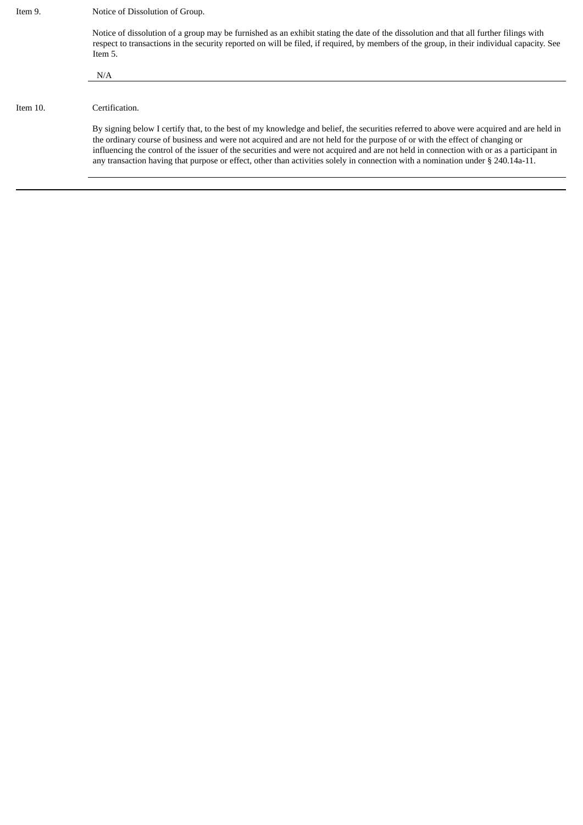| Item 9.     | Notice of Dissolution of Group.                                                                                                                                                                                                                                                                                                                                                                                                                                                                                                                       |
|-------------|-------------------------------------------------------------------------------------------------------------------------------------------------------------------------------------------------------------------------------------------------------------------------------------------------------------------------------------------------------------------------------------------------------------------------------------------------------------------------------------------------------------------------------------------------------|
|             | Notice of dissolution of a group may be furnished as an exhibit stating the date of the dissolution and that all further filings with<br>respect to transactions in the security reported on will be filed, if required, by members of the group, in their individual capacity. See<br>Item 5.                                                                                                                                                                                                                                                        |
|             | N/A                                                                                                                                                                                                                                                                                                                                                                                                                                                                                                                                                   |
|             |                                                                                                                                                                                                                                                                                                                                                                                                                                                                                                                                                       |
| Item $10$ . | Certification.                                                                                                                                                                                                                                                                                                                                                                                                                                                                                                                                        |
|             | By signing below I certify that, to the best of my knowledge and belief, the securities referred to above were acquired and are held in<br>the ordinary course of business and were not acquired and are not held for the purpose of or with the effect of changing or<br>influencing the control of the issuer of the securities and were not acquired and are not held in connection with or as a participant in<br>any transaction having that purpose or effect, other than activities solely in connection with a nomination under § 240.14a-11. |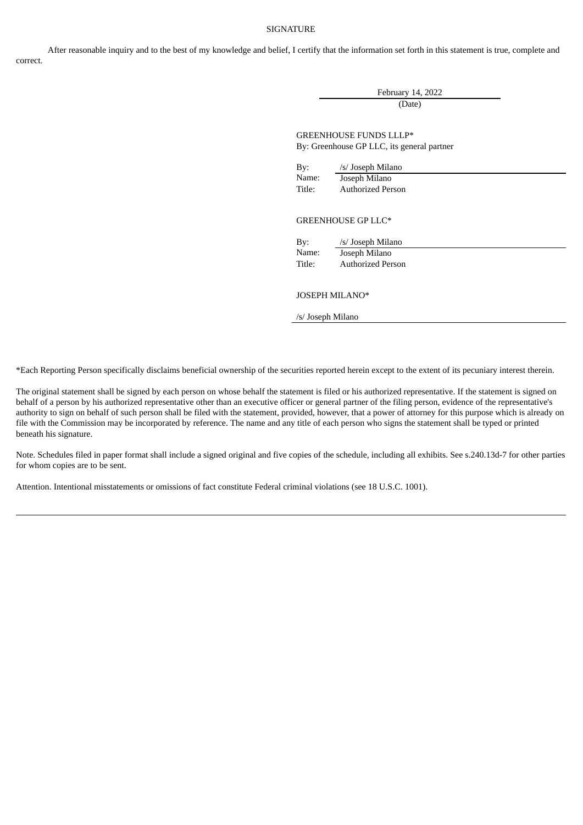## SIGNATURE

After reasonable inquiry and to the best of my knowledge and belief, I certify that the information set forth in this statement is true, complete and correct.

> February 14, 2022 (Date)

GREENHOUSE FUNDS LLLP\* By: Greenhouse GP LLC, its general partner

| By:    | /s/ Joseph Milano        |
|--------|--------------------------|
| Name:  | Joseph Milano            |
| Title: | <b>Authorized Person</b> |

#### GREENHOUSE GP LLC\*

By: /s/ Joseph Milano Name: Joseph Milano Title: Authorized Person

### JOSEPH MILANO\*

/s/ Joseph Milano

\*Each Reporting Person specifically disclaims beneficial ownership of the securities reported herein except to the extent of its pecuniary interest therein.

The original statement shall be signed by each person on whose behalf the statement is filed or his authorized representative. If the statement is signed on behalf of a person by his authorized representative other than an executive officer or general partner of the filing person, evidence of the representative's authority to sign on behalf of such person shall be filed with the statement, provided, however, that a power of attorney for this purpose which is already on file with the Commission may be incorporated by reference. The name and any title of each person who signs the statement shall be typed or printed beneath his signature.

Note. Schedules filed in paper format shall include a signed original and five copies of the schedule, including all exhibits. See s.240.13d-7 for other parties for whom copies are to be sent.

Attention. Intentional misstatements or omissions of fact constitute Federal criminal violations (see 18 U.S.C. 1001).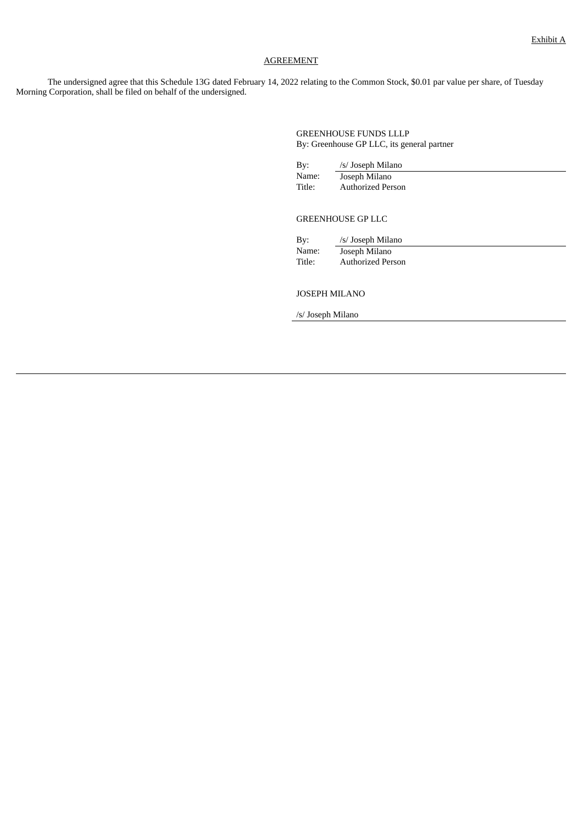## AGREEMENT

The undersigned agree that this Schedule 13G dated February 14, 2022 relating to the Common Stock, \$0.01 par value per share, of Tuesday Morning Corporation, shall be filed on behalf of the undersigned.

> GREENHOUSE FUNDS LLLP By: Greenhouse GP LLC, its general partner

| By:    | /s/ Joseph Milano |
|--------|-------------------|
| Name:  | Joseph Milano     |
| Title: | Authorized Person |

# GREENHOUSE GP LLC

By: /s/ Joseph Milano Name: Joseph Milano Title: Authorized Person

#### JOSEPH MILANO

/s/ Joseph Milano